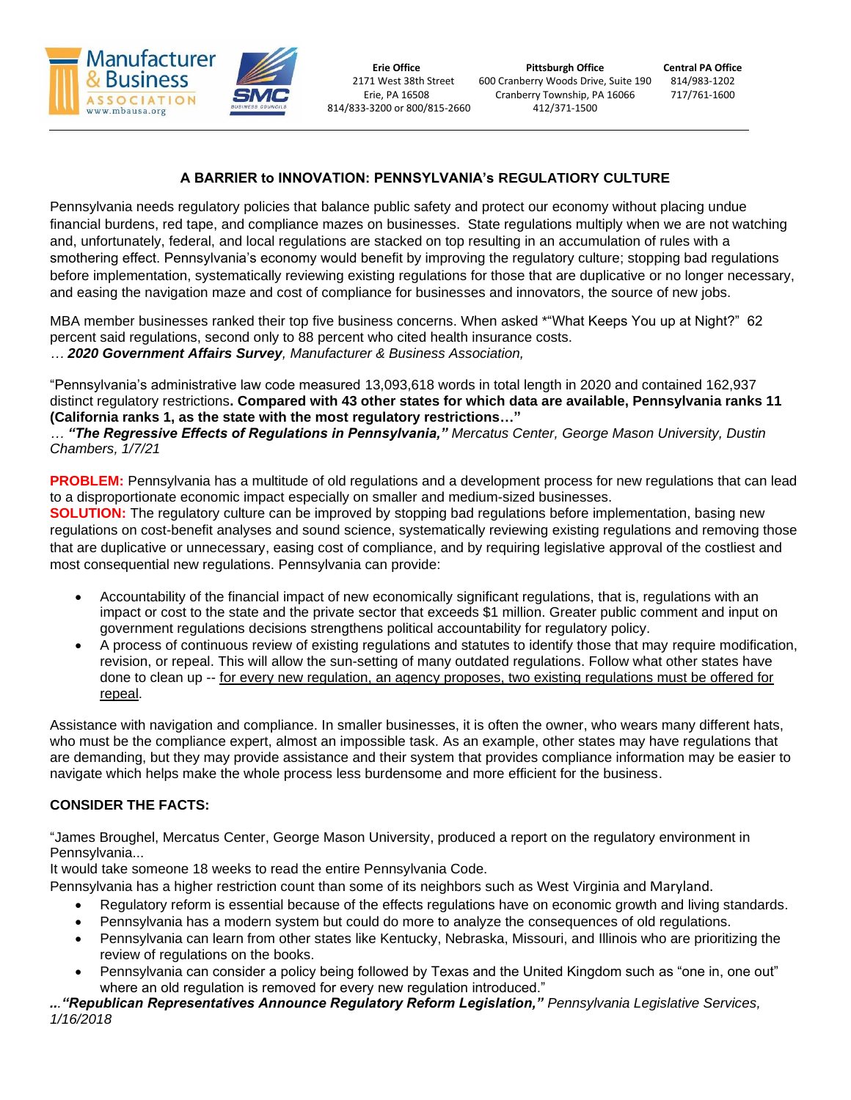

# **A BARRIER to INNOVATION: PENNSYLVANIA's REGULATIORY CULTURE**

Pennsylvania needs regulatory policies that balance public safety and protect our economy without placing undue financial burdens, red tape, and compliance mazes on businesses. State regulations multiply when we are not watching and, unfortunately, federal, and local regulations are stacked on top resulting in an accumulation of rules with a smothering effect. Pennsylvania's economy would benefit by improving the regulatory culture; stopping bad regulations before implementation, systematically reviewing existing regulations for those that are duplicative or no longer necessary, and easing the navigation maze and cost of compliance for businesses and innovators, the source of new jobs.

MBA member businesses ranked their top five business concerns. When asked \*"What Keeps You up at Night?" 62 percent said regulations, second only to 88 percent who cited health insurance costs. *… 2020 Government Affairs Survey, Manufacturer & Business Association,*

"Pennsylvania's administrative law code measured 13,093,618 words in total length in 2020 and contained 162,937 distinct regulatory restrictions**. Compared with 43 other states for which data are available, Pennsylvania ranks 11 (California ranks 1, as the state with the most regulatory restrictions…"**

*… "The Regressive Effects of Regulations in Pennsylvania," Mercatus Center, George Mason University, Dustin Chambers, 1/7/21*

**PROBLEM:** Pennsylvania has a multitude of old regulations and a development process for new regulations that can lead to a disproportionate economic impact especially on smaller and medium-sized businesses.

**SOLUTION:** The regulatory culture can be improved by stopping bad regulations before implementation, basing new regulations on cost-benefit analyses and sound science, systematically reviewing existing regulations and removing those that are duplicative or unnecessary, easing cost of compliance, and by requiring legislative approval of the costliest and most consequential new regulations. Pennsylvania can provide:

- Accountability of the financial impact of new economically significant regulations, that is, regulations with an impact or cost to the state and the private sector that exceeds \$1 million. Greater public comment and input on government regulations decisions strengthens political accountability for regulatory policy.
- A process of continuous review of existing regulations and statutes to identify those that may require modification, revision, or repeal. This will allow the sun-setting of many outdated regulations. Follow what other states have done to clean up -- for every new regulation, an agency proposes, two existing regulations must be offered for repeal.

Assistance with navigation and compliance. In smaller businesses, it is often the owner, who wears many different hats, who must be the compliance expert, almost an impossible task. As an example, other states may have regulations that are demanding, but they may provide assistance and their system that provides compliance information may be easier to navigate which helps make the whole process less burdensome and more efficient for the business.

# **CONSIDER THE FACTS:**

"James Broughel, Mercatus Center, George Mason University, produced a report on the regulatory environment in Pennsylvania...

It would take someone 18 weeks to read the entire Pennsylvania Code.

Pennsylvania has a higher restriction count than some of its neighbors such as West Virginia and Maryland.

- Regulatory reform is essential because of the effects regulations have on economic growth and living standards.
- Pennsylvania has a modern system but could do more to analyze the consequences of old regulations.
- Pennsylvania can learn from other states like Kentucky, Nebraska, Missouri, and Illinois who are prioritizing the review of regulations on the books.
- Pennsylvania can consider a policy being followed by Texas and the United Kingdom such as "one in, one out" where an old regulation is removed for every new regulation introduced."

*..."Republican Representatives Announce Regulatory Reform Legislation," Pennsylvania Legislative Services, 1/16/2018*